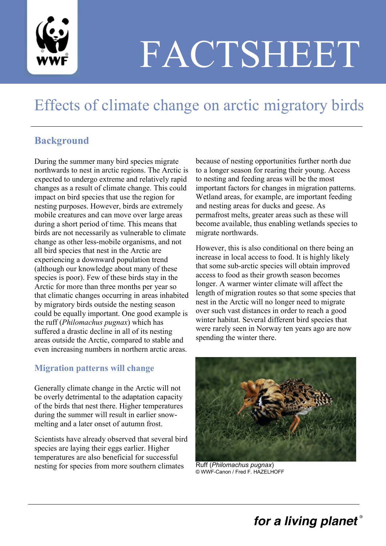

# FACTSHEET

## Effects of climate change on arctic migratory birds

#### **Background**

During the summer many bird species migrate northwards to nest in arctic regions. The Arctic is expected to undergo extreme and relatively rapid changes as a result of climate change. This could impact on bird species that use the region for nesting purposes. However, birds are extremely mobile creatures and can move over large areas during a short period of time. This means that birds are not necessarily as vulnerable to climate change as other less-mobile organisms, and not all bird species that nest in the Arctic are experiencing a downward population trend (although our knowledge about many of these species is poor). Few of these birds stay in the Arctic for more than three months per year so that climatic changes occurring in areas inhabited by migratory birds outside the nesting season could be equally important. One good example is the ruff (*Philomachus pugnax*) which has suffered a drastic decline in all of its nesting areas outside the Arctic, compared to stable and even increasing numbers in northern arctic areas.

#### **Migration patterns will change**

Generally climate change in the Arctic will not be overly detrimental to the adaptation capacity of the birds that nest there. Higher temperatures during the summer will result in earlier snowmelting and a later onset of autumn frost.

Scientists have already observed that several bird species are laying their eggs earlier. Higher temperatures are also beneficial for successful nesting for species from more southern climates

because of nesting opportunities further north due to a longer season for rearing their young. Access to nesting and feeding areas will be the most important factors for changes in migration patterns. Wetland areas, for example, are important feeding and nesting areas for ducks and geese. As permafrost melts, greater areas such as these will become available, thus enabling wetlands species to migrate northwards.

However, this is also conditional on there being an increase in local access to food. It is highly likely that some sub-arctic species will obtain improved access to food as their growth season becomes longer. A warmer winter climate will affect the length of migration routes so that some species that nest in the Arctic will no longer need to migrate over such vast distances in order to reach a good winter habitat. Several different bird species that were rarely seen in Norway ten years ago are now spending the winter there.



Ruff (*Philomachus pugnax*) © WWF-Canon / Fred F. HAZELHOFF

## for a living planet®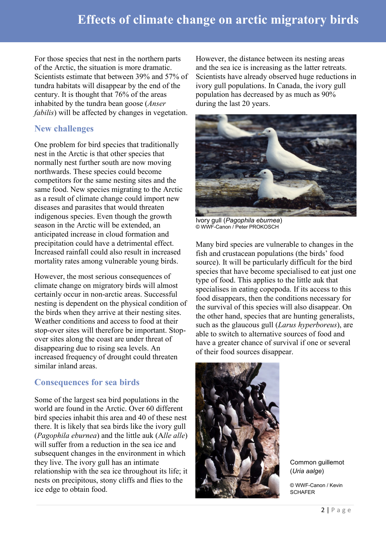For those species that nest in the northern parts of the Arctic, the situation is more dramatic. Scientists estimate that between 39% and 57% of tundra habitats will disappear by the end of the century. It is thought that 76% of the areas inhabited by the tundra bean goose (*Anser fabilis*) will be affected by changes in vegetation.

#### **New challenges**

One problem for bird species that traditionally nest in the Arctic is that other species that normally nest further south are now moving northwards. These species could become competitors for the same nesting sites and the same food. New species migrating to the Arctic as a result of climate change could import new diseases and parasites that would threaten indigenous species. Even though the growth season in the Arctic will be extended, an anticipated increase in cloud formation and precipitation could have a detrimental effect. Increased rainfall could also result in increased mortality rates among vulnerable young birds.

However, the most serious consequences of climate change on migratory birds will almost certainly occur in non-arctic areas. Successful nesting is dependent on the physical condition of the birds when they arrive at their nesting sites. Weather conditions and access to food at their stop-over sites will therefore be important. Stopover sites along the coast are under threat of disappearing due to rising sea levels. An increased frequency of drought could threaten similar inland areas.

#### **Consequences for sea birds**

Some of the largest sea bird populations in the world are found in the Arctic. Over 60 different bird species inhabit this area and 40 of these nest there. It is likely that sea birds like the ivory gull (*Pagophila eburnea*) and the little auk (A*lle alle*) will suffer from a reduction in the sea ice and subsequent changes in the environment in which they live. The ivory gull has an intimate relationship with the sea ice throughout its life; it nests on precipitous, stony cliffs and flies to the ice edge to obtain food.

However, the distance between its nesting areas and the sea ice is increasing as the latter retreats. Scientists have already observed huge reductions in ivory gull populations. In Canada, the ivory gull population has decreased by as much as 90% during the last 20 years.



Ivory gull (*Pagophila eburnea*) © WWF-Canon / Peter PROKOSCH

Many bird species are vulnerable to changes in the fish and crustacean populations (the birds' food source). It will be particularly difficult for the bird species that have become specialised to eat just one type of food. This applies to the little auk that specialises in eating copepoda. If its access to this food disappears, then the conditions necessary for the survival of this species will also disappear. On the other hand, species that are hunting generalists, such as the glaucous gull (*Larus hyperboreus*), are able to switch to alternative sources of food and have a greater chance of survival if one or several of their food sources disappear.



Common guillemot (*Uria aalge*)

© WWF-Canon / Kevin **SCHAFER**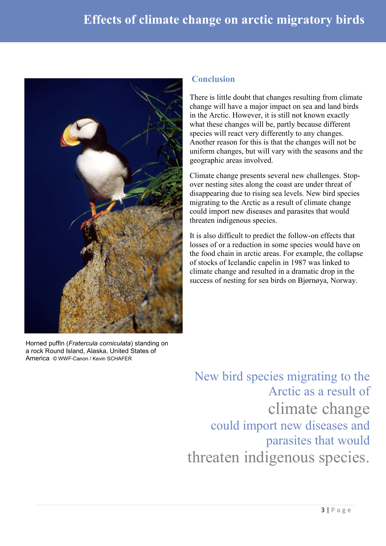## **Effects of climate change on arctic migratory birds**



Horned puffin (*Fratercula corniculata*) standing on a rock Round Island, Alaska, United States of America © WWF-Canon / Kevin SCHAFER

#### **Conclusion**

There is little doubt that changes resulting from climate change will have a major impact on sea and land birds in the Arctic. However, it is still not known exactly what these changes will be, partly because different species will react very differently to any changes. Another reason for this is that the changes will not be uniform changes, but will vary with the seasons and the geographic areas involved.

Climate change presents several new challenges. Stopover nesting sites along the coast are under threat of disappearing due to rising sea levels. New bird species migrating to the Arctic as a result of climate change could import new diseases and parasites that would threaten indigenous species.

It is also difficult to predict the follow-on effects that losses of or a reduction in some species would have on the food chain in arctic areas. For example, the collapse of stocks of Icelandic capelin in 1987 was linked to climate change and resulted in a dramatic drop in the success of nesting for sea birds on Bjørnøya, Norway.

New bird species migrating to the Arctic as a result of climate change could import new diseases and parasites that would threaten indigenous species.